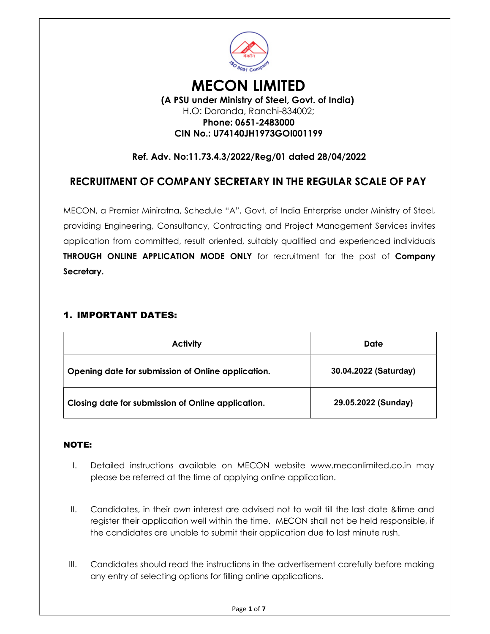

## MECON LIMITED (A PSU under Ministry of Steel, Govt. of India) H.O: Doranda, Ranchi-834002;

## Phone: 0651-2483000 CIN No.: U74140JH1973GOI001199

## Ref. Adv. No:11.73.4.3/2022/Reg/01 dated 28/04/2022

# RECRUITMENT OF COMPANY SECRETARY IN THE REGULAR SCALE OF PAY

MECON, a Premier Miniratna, Schedule "A", Govt. of India Enterprise under Ministry of Steel, providing Engineering, Consultancy, Contracting and Project Management Services invites application from committed, result oriented, suitably qualified and experienced individuals THROUGH ONLINE APPLICATION MODE ONLY for recruitment for the post of Company Secretary.

### 1. IMPORTANT DATES:

| <b>Activity</b>                                    | Date                  |
|----------------------------------------------------|-----------------------|
| Opening date for submission of Online application. | 30.04.2022 (Saturday) |
| Closing date for submission of Online application. | 29.05.2022 (Sunday)   |

#### NOTE:

- I. Detailed instructions available on MECON website www.meconlimited.co.in may please be referred at the time of applying online application.
- II. Candidates, in their own interest are advised not to wait till the last date &time and register their application well within the time. MECON shall not be held responsible, if the candidates are unable to submit their application due to last minute rush.
- III. Candidates should read the instructions in the advertisement carefully before making any entry of selecting options for filling online applications.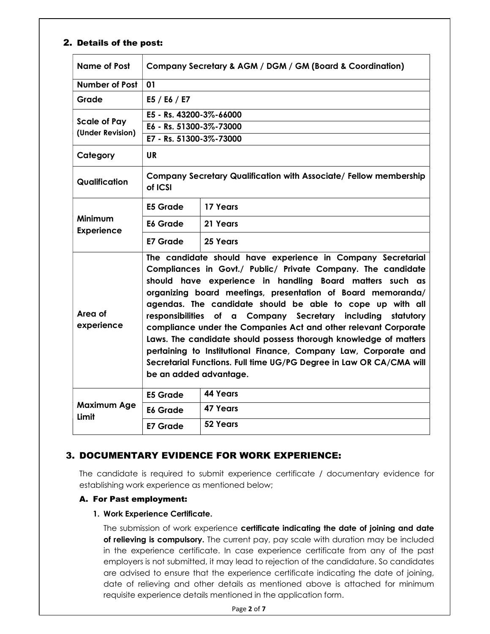#### 2. Details of the post:

| Name of Post                            | Company Secretary & AGM / DGM / GM (Board & Coordination)                                                                                                                                                                                                                                                                                                                                                                                                                                                                                                                                                                                                                                        |                 |  |
|-----------------------------------------|--------------------------------------------------------------------------------------------------------------------------------------------------------------------------------------------------------------------------------------------------------------------------------------------------------------------------------------------------------------------------------------------------------------------------------------------------------------------------------------------------------------------------------------------------------------------------------------------------------------------------------------------------------------------------------------------------|-----------------|--|
| <b>Number of Post</b>                   | 01                                                                                                                                                                                                                                                                                                                                                                                                                                                                                                                                                                                                                                                                                               |                 |  |
| Grade                                   | E5 / E6 / E7                                                                                                                                                                                                                                                                                                                                                                                                                                                                                                                                                                                                                                                                                     |                 |  |
|                                         | E5 - Rs. 43200-3%-66000                                                                                                                                                                                                                                                                                                                                                                                                                                                                                                                                                                                                                                                                          |                 |  |
| <b>Scale of Pay</b><br>(Under Revision) | E6 - Rs. 51300-3%-73000                                                                                                                                                                                                                                                                                                                                                                                                                                                                                                                                                                                                                                                                          |                 |  |
|                                         | E7 - Rs. 51300-3%-73000                                                                                                                                                                                                                                                                                                                                                                                                                                                                                                                                                                                                                                                                          |                 |  |
| Category                                | <b>UR</b>                                                                                                                                                                                                                                                                                                                                                                                                                                                                                                                                                                                                                                                                                        |                 |  |
| Qualification                           | Company Secretary Qualification with Associate/ Fellow membership<br>of ICSI                                                                                                                                                                                                                                                                                                                                                                                                                                                                                                                                                                                                                     |                 |  |
| <b>Minimum</b><br><b>Experience</b>     | E5 Grade                                                                                                                                                                                                                                                                                                                                                                                                                                                                                                                                                                                                                                                                                         | 17 Years        |  |
|                                         | <b>E6 Grade</b>                                                                                                                                                                                                                                                                                                                                                                                                                                                                                                                                                                                                                                                                                  | 21 Years        |  |
|                                         | E7 Grade                                                                                                                                                                                                                                                                                                                                                                                                                                                                                                                                                                                                                                                                                         | 25 Years        |  |
| Area of<br>experience                   | The candidate should have experience in Company Secretarial<br>Compliances in Govt./ Public/ Private Company. The candidate<br>should have experience in handling Board matters such as<br>organizing board meetings, presentation of Board memoranda/<br>agendas. The candidate should be able to cope up with all<br>responsibilities<br>of a Company Secretary including statutory<br>compliance under the Companies Act and other relevant Corporate<br>Laws. The candidate should possess thorough knowledge of matters<br>pertaining to Institutional Finance, Company Law, Corporate and<br>Secretarial Functions. Full time UG/PG Degree in Law OR CA/CMA will<br>be an added advantage. |                 |  |
| <b>Maximum Age</b><br>Limit             | <b>E5 Grade</b>                                                                                                                                                                                                                                                                                                                                                                                                                                                                                                                                                                                                                                                                                  | <b>44 Years</b> |  |
|                                         | E <sub>6</sub> Grade                                                                                                                                                                                                                                                                                                                                                                                                                                                                                                                                                                                                                                                                             | 47 Years        |  |
|                                         | <b>E7 Grade</b>                                                                                                                                                                                                                                                                                                                                                                                                                                                                                                                                                                                                                                                                                  | 52 Years        |  |

### 3. DOCUMENTARY EVIDENCE FOR WORK EXPERIENCE:

The candidate is required to submit experience certificate / documentary evidence for establishing work experience as mentioned below;

#### A. For Past employment:

#### 1. Work Experience Certificate.

The submission of work experience certificate indicating the date of joining and date of relieving is compulsory. The current pay, pay scale with duration may be included in the experience certificate. In case experience certificate from any of the past employers is not submitted, it may lead to rejection of the candidature. So candidates are advised to ensure that the experience certificate indicating the date of joining, date of relieving and other details as mentioned above is attached for minimum requisite experience details mentioned in the application form.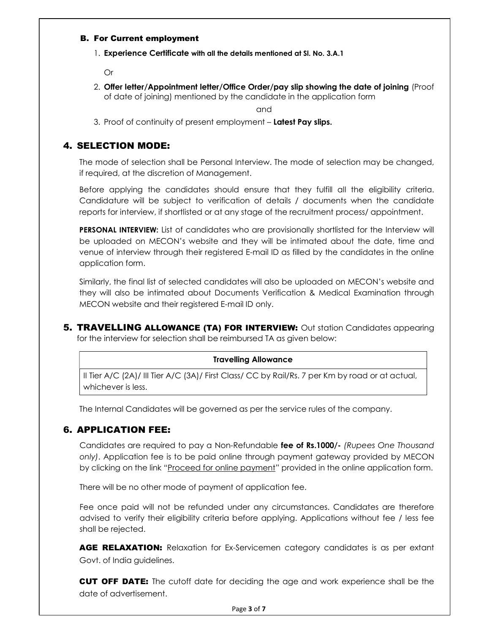#### B. For Current employment

1. Experience Certificate with all the details mentioned at Sl. No. 3.A.1

Or

2. Offer letter/Appointment letter/Office Order/pay slip showing the date of joining (Proof of date of joining) mentioned by the candidate in the application form

and

3. Proof of continuity of present employment – Latest Pay slips.

### 4. SELECTION MODE:

The mode of selection shall be Personal Interview. The mode of selection may be changed, if required, at the discretion of Management.

Before applying the candidates should ensure that they fulfill all the eligibility criteria. Candidature will be subject to verification of details / documents when the candidate reports for interview, if shortlisted or at any stage of the recruitment process/ appointment.

**PERSONAL INTERVIEW:** List of candidates who are provisionally shortlisted for the Interview will be uploaded on MECON's website and they will be intimated about the date, time and venue of interview through their registered E-mail ID as filled by the candidates in the online application form.

Similarly, the final list of selected candidates will also be uploaded on MECON's website and they will also be intimated about Documents Verification & Medical Examination through MECON website and their registered E-mail ID only.

**5. TRAVELLING ALLOWANCE (TA) FOR INTERVIEW:** Out station Candidates appearing for the interview for selection shall be reimbursed TA as given below:

#### Travelling Allowance

II Tier A/C (2A)/ III Tier A/C (3A)/ First Class/ CC by Rail/Rs. 7 per Km by road or at actual, whichever is less.

The Internal Candidates will be governed as per the service rules of the company.

### 6. APPLICATION FEE:

Candidates are required to pay a Non-Refundable fee of Rs.1000/- (Rupees One Thousand only). Application fee is to be paid online through payment gateway provided by MECON by clicking on the link "Proceed for online payment" provided in the online application form.

There will be no other mode of payment of application fee.

Fee once paid will not be refunded under any circumstances. Candidates are therefore advised to verify their eligibility criteria before applying. Applications without fee / less fee shall be rejected.

AGE RELAXATION: Relaxation for Ex-Servicemen category candidates is as per extant Govt. of India guidelines.

CUT OFF DATE: The cutoff date for deciding the age and work experience shall be the date of advertisement.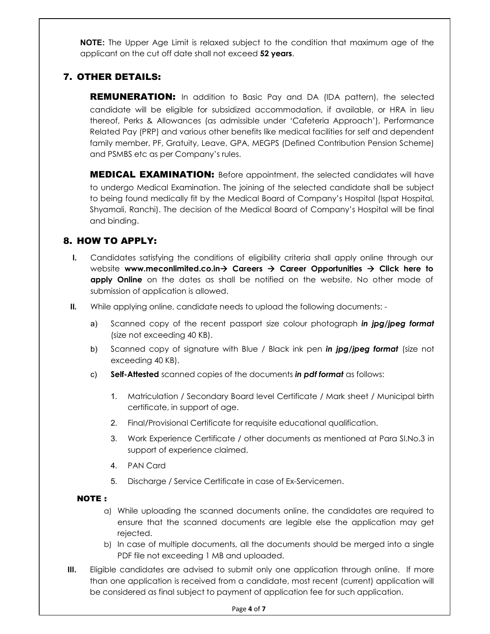**NOTE:** The Upper Age Limit is relaxed subject to the condition that maximum age of the applicant on the cut off date shall not exceed 52 years.

## 7. OTHER DETAILS:

**REMUNERATION:** In addition to Basic Pay and DA (IDA pattern), the selected candidate will be eligible for subsidized accommodation, if available, or HRA in lieu thereof, Perks & Allowances (as admissible under 'Cafeteria Approach'), Performance Related Pay (PRP) and various other benefits like medical facilities for self and dependent family member, PF, Gratuity, Leave, GPA, MEGPS (Defined Contribution Pension Scheme) and PSMBS etc as per Company's rules.

**MEDICAL EXAMINATION:** Before appointment, the selected candidates will have to undergo Medical Examination. The joining of the selected candidate shall be subject to being found medically fit by the Medical Board of Company's Hospital (Ispat Hospital, Shyamali, Ranchi). The decision of the Medical Board of Company's Hospital will be final and binding.

## 8. HOW TO APPLY:

- I. Candidates satisfying the conditions of eligibility criteria shall apply online through our website www.meconlimited.co.in > Careers  $\rightarrow$  Career Opportunities  $\rightarrow$  Click here to **apply Online** on the dates as shall be notified on the website. No other mode of submission of application is allowed.
- II. While applying online, candidate needs to upload the following documents:
	- a) Scanned copy of the recent passport size colour photograph in jpg/jpeg format (size not exceeding 40 KB).
	- b) Scanned copy of signature with Blue / Black ink pen in jpg/jpeg format (size not exceeding 40 KB).
	- c) Self-Attested scanned copies of the documents in pdf format as follows:
		- 1. Matriculation / Secondary Board level Certificate / Mark sheet / Municipal birth certificate, in support of age.
		- 2. Final/Provisional Certificate for requisite educational qualification.
		- 3. Work Experience Certificate / other documents as mentioned at Para Sl.No.3 in support of experience claimed.
		- 4. PAN Card
		- 5. Discharge / Service Certificate in case of Ex-Servicemen.

### NOTE :

- a) While uploading the scanned documents online, the candidates are required to ensure that the scanned documents are legible else the application may get rejected.
- b) In case of multiple documents, all the documents should be merged into a single PDF file not exceeding 1 MB and uploaded.
- III. Eligible candidates are advised to submit only one application through online. If more than one application is received from a candidate, most recent (current) application will be considered as final subject to payment of application fee for such application.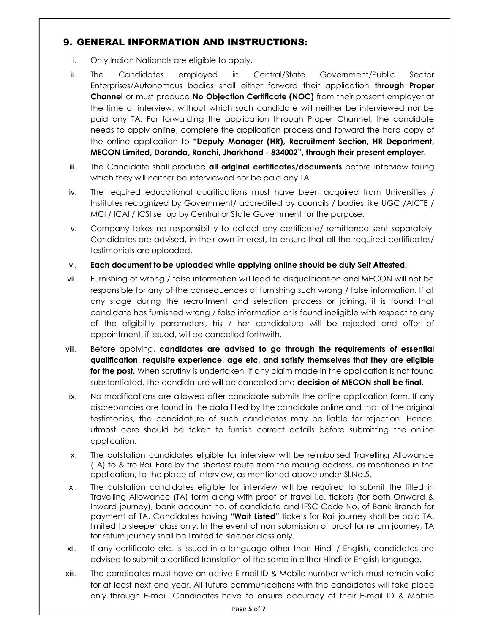### 9. GENERAL INFORMATION AND INSTRUCTIONS:

- i. Only Indian Nationals are eligible to apply.
- ii. The Candidates employed in Central/State Government/Public Sector Enterprises/Autonomous bodies shall either forward their application through Proper Channel or must produce No Objection Certificate (NOC) from their present employer at the time of interview; without which such candidate will neither be interviewed nor be paid any TA. For forwarding the application through Proper Channel, the candidate needs to apply online, complete the application process and forward the hard copy of the online application to "Deputy Manager (HR), Recruitment Section, HR Department, MECON Limited, Doranda, Ranchi, Jharkhand - 834002", through their present employer.
- iii. The Candidate shall produce all original certificates/documents before interview failing which they will neither be interviewed nor be paid any TA.
- iv. The required educational qualifications must have been acquired from Universities / Institutes recognized by Government/ accredited by councils / bodies like UGC /AICTE / MCI / ICAI / ICSI set up by Central or State Government for the purpose.
- v. Company takes no responsibility to collect any certificate/ remittance sent separately. Candidates are advised, in their own interest, to ensure that all the required certificates/ testimonials are uploaded.
- vi. Each document to be uploaded while applying online should be duly Self Attested.
- vii. Furnishing of wrong / false information will lead to disqualification and MECON will not be responsible for any of the consequences of furnishing such wrong / false information. If at any stage during the recruitment and selection process or joining, it is found that candidate has furnished wrong / false information or is found ineligible with respect to any of the eligibility parameters, his / her candidature will be rejected and offer of appointment, if issued, will be cancelled forthwith.
- viii. Before applying, candidates are advised to go through the requirements of essential qualification, requisite experience, age etc. and satisfy themselves that they are eligible for the post. When scrutiny is undertaken, if any claim made in the application is not found substantiated, the candidature will be cancelled and **decision of MECON shall be final.**
- ix. No modifications are allowed after candidate submits the online application form. If any discrepancies are found in the data filled by the candidate online and that of the original testimonies, the candidature of such candidates may be liable for rejection. Hence, utmost care should be taken to furnish correct details before submitting the online application.
- x. The outstation candidates eligible for interview will be reimbursed Travelling Allowance (TA) to & fro Rail Fare by the shortest route from the mailing address, as mentioned in the application, to the place of interview, as mentioned above under Sl.No.5.
- xi. The Outstation candidates eligible for interview will be required to submit the filled in Travelling Allowance (TA) form along with proof of travel i.e. tickets (for both Onward & Inward journey), bank account no. of candidate and IFSC Code No. of Bank Branch for payment of TA. Candidates having "Wait Listed" tickets for Rail journey shall be paid TA, limited to sleeper class only. In the event of non submission of proof for return journey, TA for return journey shall be limited to sleeper class only.
- xii. If any certificate etc. is issued in a language other than Hindi / English, candidates are advised to submit a certified translation of the same in either Hindi or English language.
- xiii. The candidates must have an active E-mail ID & Mobile number which must remain valid for at least next one year. All future communications with the candidates will take place only through E-mail. Candidates have to ensure accuracy of their E-mail ID & Mobile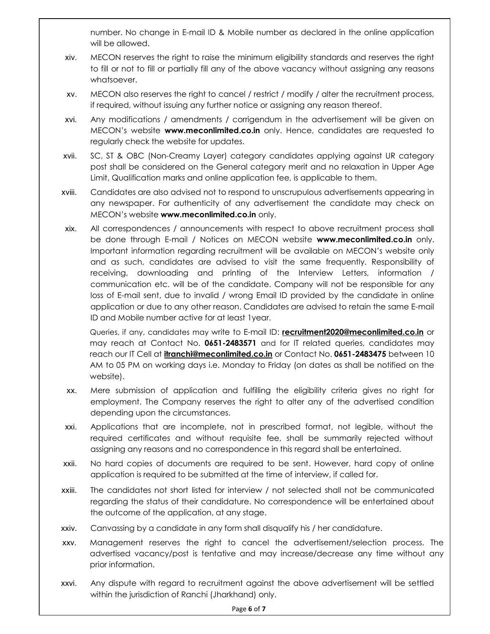number. No change in E-mail ID & Mobile number as declared in the online application will be allowed.

- xiv. MECON reserves the right to raise the minimum eligibility standards and reserves the right to fill or not to fill or partially fill any of the above vacancy without assigning any reasons whatsoever.
- xv. MECON also reserves the right to cancel / restrict / modify / alter the recruitment process, if required, without issuing any further notice or assigning any reason thereof.
- xvi. Any modifications / amendments / corrigendum in the advertisement will be given on MECON's website **www.meconlimited.co.in** only. Hence, candidates are requested to regularly check the website for updates.
- xvii. SC, ST & OBC (Non-Creamy Layer) category candidates applying against UR category post shall be considered on the General category merit and no relaxation in Upper Age Limit, Qualification marks and online application fee, is applicable to them.
- xviii. Candidates are also advised not to respond to unscrupulous advertisements appearing in any newspaper. For authenticity of any advertisement the candidate may check on MECON's website www.meconlimited.co.in only.
- xix. All correspondences / announcements with respect to above recruitment process shall be done through E-mail / Notices on MECON website www.meconlimited.co.in only. Important information regarding recruitment will be available on MECON's website only and as such, candidates are advised to visit the same frequently. Responsibility of receiving, downloading and printing of the Interview Letters, information / communication etc. will be of the candidate. Company will not be responsible for any loss of E-mail sent, due to invalid / wrong Email ID provided by the candidate in online application or due to any other reason. Candidates are advised to retain the same E-mail ID and Mobile number active for at least 1year.

Queries, if any, candidates may write to E-mail ID: **recruitment2020@meconlimited.co.in** or may reach at Contact No. 0651-2483571 and for IT related queries, candidates may reach our IT Cell at *itranchi@meconlimited.co.in* or Contact No. 0651-2483475 between 10 AM to 05 PM on working days i.e. Monday to Friday (on dates as shall be notified on the website).

- xx. Mere submission of application and fulfilling the eligibility criteria gives no right for employment. The Company reserves the right to alter any of the advertised condition depending upon the circumstances.
- xxi. Applications that are incomplete, not in prescribed format, not legible, without the required certificates and without requisite fee, shall be summarily rejected without assigning any reasons and no correspondence in this regard shall be entertained.
- xxii. No hard copies of documents are required to be sent. However, hard copy of online application is required to be submitted at the time of interview, if called for.
- xxiii. The candidates not short listed for interview / not selected shall not be communicated regarding the status of their candidature. No correspondence will be entertained about the outcome of the application, at any stage.
- xxiv. Canvassing by a candidate in any form shall disqualify his / her candidature.
- xxv. Management reserves the right to cancel the advertisement/selection process. The advertised vacancy/post is tentative and may increase/decrease any time without any prior information.
- xxvi. Any dispute with regard to recruitment against the above advertisement will be settled within the jurisdiction of Ranchi (Jharkhand) only.